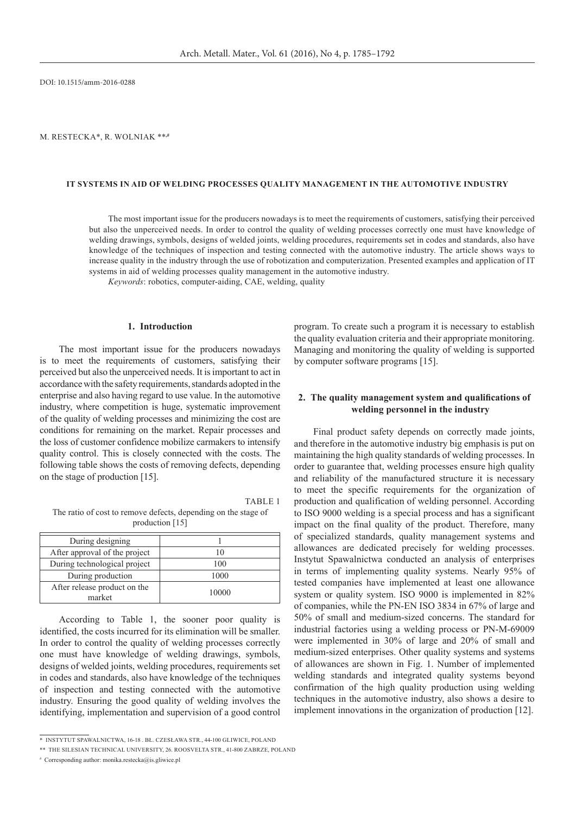DOI: 10.1515/amm-2016-0288

M. Restecka\*, R. Wolniak \*\***,#**

### **IT systems in aid of welding processes quality management in the automotive industry**

The most important issue for the producers nowadays is to meet the requirements of customers, satisfying their perceived but also the unperceived needs. In order to control the quality of welding processes correctly one must have knowledge of welding drawings, symbols, designs of welded joints, welding procedures, requirements set in codes and standards, also have knowledge of the techniques of inspection and testing connected with the automotive industry. The article shows ways to increase quality in the industry through the use of robotization and computerization. Presented examples and application of IT systems in aid of welding processes quality management in the automotive industry. *Keywords*: robotics, computer-aiding, CAE, welding, quality

## **1. Introduction**

The most important issue for the producers nowadays is to meet the requirements of customers, satisfying their perceived but also the unperceived needs. It is important to act in accordance with the safety requirements, standards adopted in the enterprise and also having regard to use value. In the automotive industry, where competition is huge, systematic improvement of the quality of welding processes and minimizing the cost are conditions for remaining on the market. Repair processes and the loss of customer confidence mobilize carmakers to intensify quality control. This is closely connected with the costs. The following table shows the costs of removing defects, depending on the stage of production [15].

TABLE 1 The ratio of cost to remove defects, depending on the stage of production [15]

| During designing                       |       |
|----------------------------------------|-------|
| After approval of the project          |       |
| During technological project           | 100   |
| During production                      | 1000  |
| After release product on the<br>market | 10000 |

According to Table 1, the sooner poor quality is identified, the costs incurred for its elimination will be smaller. In order to control the quality of welding processes correctly one must have knowledge of welding drawings, symbols, designs of welded joints, welding procedures, requirements set in codes and standards, also have knowledge of the techniques of inspection and testing connected with the automotive industry. Ensuring the good quality of welding involves the identifying, implementation and supervision of a good control program. To create such a program it is necessary to establish

## **2. The quality management system and qualifications of welding personnel in the industry**

Final product safety depends on correctly made joints, and therefore in the automotive industry big emphasis is put on maintaining the high quality standards of welding processes. In order to guarantee that, welding processes ensure high quality and reliability of the manufactured structure it is necessary to meet the specific requirements for the organization of production and qualification of welding personnel. According to ISO 9000 welding is a special process and has a significant impact on the final quality of the product. Therefore, many of specialized standards, quality management systems and allowances are dedicated precisely for welding processes. Instytut Spawalnictwa conducted an analysis of enterprises in terms of implementing quality systems. Nearly 95% of tested companies have implemented at least one allowance system or quality system. ISO 9000 is implemented in 82% of companies, while the PN-EN ISO 3834 in 67% of large and 50% of small and medium-sized concerns. The standard for industrial factories using a welding process or PN-M-69009 were implemented in 30% of large and 20% of small and medium-sized enterprises. Other quality systems and systems of allowances are shown in Fig. 1. Number of implemented welding standards and integrated quality systems beyond confirmation of the high quality production using welding techniques in the automotive industry, also shows a desire to implement innovations in the organization of production [12].

the quality evaluation criteria and their appropriate monitoring. Managing and monitoring the quality of welding is supported by computer software programs [15].

<sup>\*</sup>Instytut Spawalnictwa, 16-18 . Bł. Czesława Str., 44-100 Gliwice, Poland

<sup>\*\*</sup>The Silesian Technical University, 26. Roosvelta Str., 41-800 Zabrze, Poland

<sup>#</sup> Corresponding author: monika.restecka@is.gliwice.pl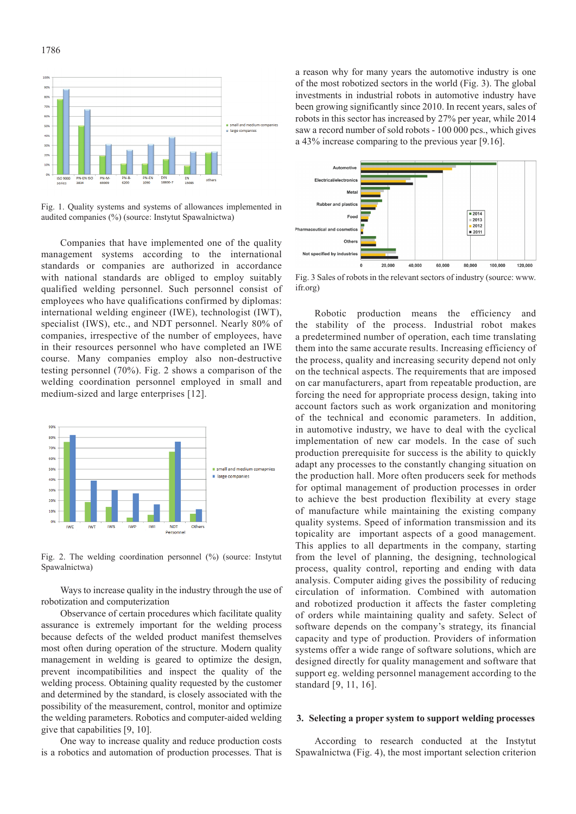

Fig. 1. Quality systems and systems of allowances implemented in audited companies (%) (source: Instytut Spawalnictwa)

Companies that have implemented one of the quality management systems according to the international standards or companies are authorized in accordance with national standards are obliged to employ suitably qualified welding personnel. Such personnel consist of employees who have qualifications confirmed by diplomas: international welding engineer (IWE), technologist (IWT), specialist (IWS), etc., and NDT personnel. Nearly 80% of companies, irrespective of the number of employees, have in their resources personnel who have completed an IWE course. Many companies employ also non-destructive testing personnel (70%). Fig. 2 shows a comparison of the welding coordination personnel employed in small and medium-sized and large enterprises [12].



Fig. 2. The welding coordination personnel (%) (source: Instytut Spawalnictwa)

Ways to increase quality in the industry through the use of robotization and computerization

Observance of certain procedures which facilitate quality assurance is extremely important for the welding process because defects of the welded product manifest themselves most often during operation of the structure. Modern quality management in welding is geared to optimize the design, prevent incompatibilities and inspect the quality of the welding process. Obtaining quality requested by the customer and determined by the standard, is closely associated with the possibility of the measurement, control, monitor and optimize the welding parameters. Robotics and computer-aided welding give that capabilities [9, 10].

One way to increase quality and reduce production costs is a robotics and automation of production processes. That is a reason why for many years the automotive industry is one of the most robotized sectors in the world (Fig. 3). The global investments in industrial robots in automotive industry have been growing significantly since 2010. In recent years, sales of robots in this sector has increased by 27% per year, while 2014 saw a record number of sold robots - 100 000 pcs., which gives a 43% increase comparing to the previous year [9.16].



Fig. 3 Sales of robots in the relevant sectors of industry (source: www. ifr.org)

Robotic production means the efficiency and the stability of the process. Industrial robot makes a predetermined number of operation, each time translating them into the same accurate results. Increasing efficiency of the process, quality and increasing security depend not only on the technical aspects. The requirements that are imposed on car manufacturers, apart from repeatable production, are forcing the need for appropriate process design, taking into account factors such as work organization and monitoring of the technical and economic parameters. In addition, in automotive industry, we have to deal with the cyclical implementation of new car models. In the case of such production prerequisite for success is the ability to quickly adapt any processes to the constantly changing situation on the production hall. More often producers seek for methods for optimal management of production processes in order to achieve the best production flexibility at every stage of manufacture while maintaining the existing company quality systems. Speed of information transmission and its topicality are important aspects of a good management. This applies to all departments in the company, starting from the level of planning, the designing, technological process, quality control, reporting and ending with data analysis. Computer aiding gives the possibility of reducing circulation of information. Combined with automation and robotized production it affects the faster completing of orders while maintaining quality and safety. Select of software depends on the company's strategy, its financial capacity and type of production. Providers of information systems offer a wide range of software solutions, which are designed directly for quality management and software that support eg. welding personnel management according to the standard [9, 11, 16].

#### **3. Selecting a proper system to support welding processes**

According to research conducted at the Instytut Spawalnictwa (Fig. 4), the most important selection criterion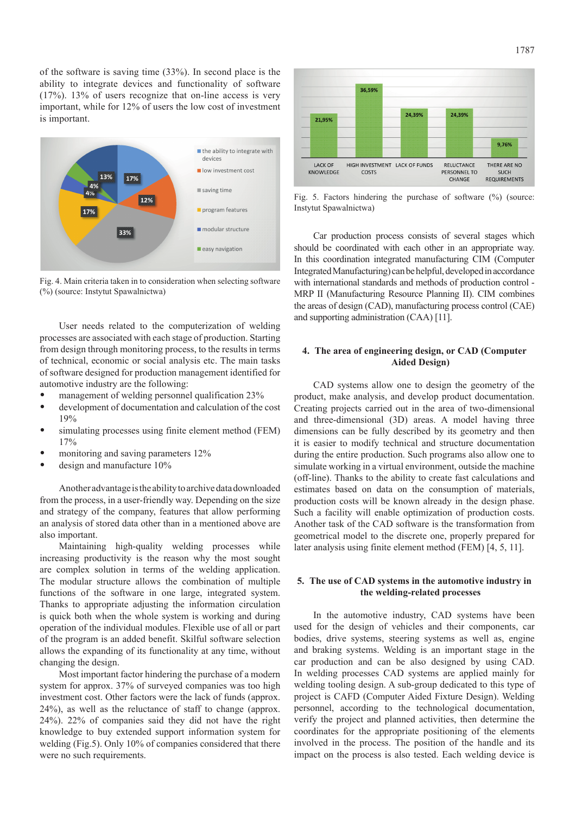of the software is saving time (33%). In second place is the ability to integrate devices and functionality of software (17%). 13% of users recognize that on-line access is very important, while for 12% of users the low cost of investment is important.



Fig. 4. Main criteria taken in to consideration when selecting software (%) (source: Instytut Spawalnictwa)

User needs related to the computerization of welding processes are associated with each stage of production. Starting from design through monitoring process, to the results in terms of technical, economic or social analysis etc. The main tasks of software designed for production management identified for automotive industry are the following:

- management of welding personnel qualification 23%
- • development of documentation and calculation of the cost 19%
- simulating processes using finite element method (FEM) 17%
- monitoring and saving parameters 12%
- design and manufacture 10%

Another advantage is the ability to archive data downloaded from the process, in a user-friendly way. Depending on the size and strategy of the company, features that allow performing an analysis of stored data other than in a mentioned above are also important.

Maintaining high-quality welding processes while increasing productivity is the reason why the most sought are complex solution in terms of the welding application. The modular structure allows the combination of multiple functions of the software in one large, integrated system. Thanks to appropriate adjusting the information circulation is quick both when the whole system is working and during operation of the individual modules. Flexible use of all or part of the program is an added benefit. Skilful software selection allows the expanding of its functionality at any time, without changing the design.

Most important factor hindering the purchase of a modern system for approx. 37% of surveyed companies was too high investment cost. Other factors were the lack of funds (approx. 24%), as well as the reluctance of staff to change (approx. 24%). 22% of companies said they did not have the right knowledge to buy extended support information system for welding (Fig.5). Only 10% of companies considered that there were no such requirements.



Fig. 5. Factors hindering the purchase of software  $\frac{1}{2}$  (source: Instytut Spawalnictwa)

Car production process consists of several stages which should be coordinated with each other in an appropriate way. In this coordination integrated manufacturing CIM (Computer Integrated Manufacturing) can be helpful, developed in accordance with international standards and methods of production control - MRP II (Manufacturing Resource Planning II). CIM combines the areas of design (CAD), manufacturing process control (CAE) and supporting administration (CAA) [11].

# **4. The area of engineering design, or CAD (Computer Aided Design)**

CAD systems allow one to design the geometry of the product, make analysis, and develop product documentation. Creating projects carried out in the area of two-dimensional and three-dimensional (3D) areas. A model having three dimensions can be fully described by its geometry and then it is easier to modify technical and structure documentation during the entire production. Such programs also allow one to simulate working in a virtual environment, outside the machine (off-line). Thanks to the ability to create fast calculations and estimates based on data on the consumption of materials, production costs will be known already in the design phase. Such a facility will enable optimization of production costs. Another task of the CAD software is the transformation from geometrical model to the discrete one, properly prepared for later analysis using finite element method (FEM) [4, 5, 11].

# **5. The use of CAD systems in the automotive industry in the welding-related processes**

In the automotive industry, CAD systems have been used for the design of vehicles and their components, car bodies, drive systems, steering systems as well as, engine and braking systems. Welding is an important stage in the car production and can be also designed by using CAD. In welding processes CAD systems are applied mainly for welding tooling design. A sub-group dedicated to this type of project is CAFD (Computer Aided Fixture Design). Welding personnel, according to the technological documentation, verify the project and planned activities, then determine the coordinates for the appropriate positioning of the elements involved in the process. The position of the handle and its impact on the process is also tested. Each welding device is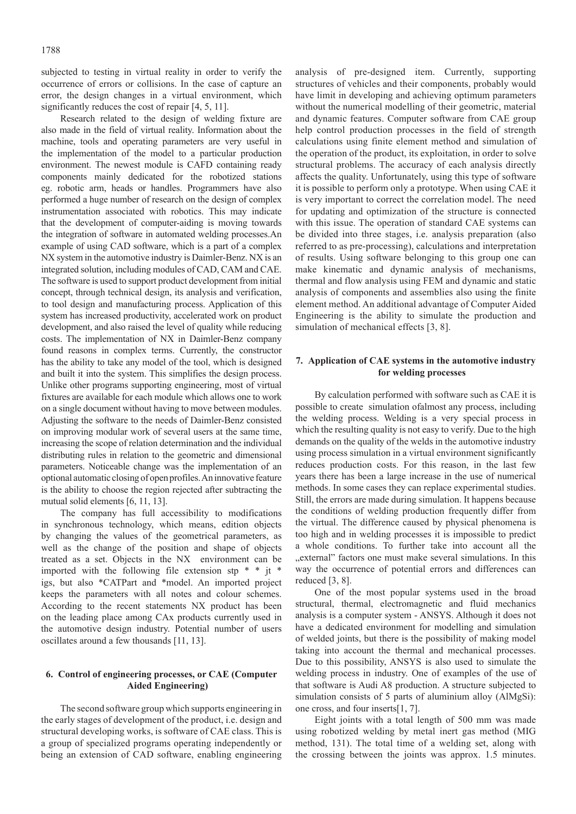subjected to testing in virtual reality in order to verify the occurrence of errors or collisions. In the case of capture an error, the design changes in a virtual environment, which significantly reduces the cost of repair [4, 5, 11].

Research related to the design of welding fixture are also made in the field of virtual reality. Information about the machine, tools and operating parameters are very useful in the implementation of the model to a particular production environment. The newest module is CAFD containing ready components mainly dedicated for the robotized stations eg. robotic arm, heads or handles. Programmers have also performed a huge number of research on the design of complex instrumentation associated with robotics. This may indicate that the development of computer-aiding is moving towards the integration of software in automated welding processes.An example of using CAD software, which is a part of a complex NX system in the automotive industry is Daimler-Benz. NX is an integrated solution, including modules of CAD, CAM and CAE. The software is used to support product development from initial concept, through technical design, its analysis and verification, to tool design and manufacturing process. Application of this system has increased productivity, accelerated work on product development, and also raised the level of quality while reducing costs. The implementation of NX in Daimler-Benz company found reasons in complex terms. Currently, the constructor has the ability to take any model of the tool, which is designed and built it into the system. This simplifies the design process. Unlike other programs supporting engineering, most of virtual fixtures are available for each module which allows one to work on a single document without having to move between modules. Adjusting the software to the needs of Daimler-Benz consisted on improving modular work of several users at the same time, increasing the scope of relation determination and the individual distributing rules in relation to the geometric and dimensional parameters. Noticeable change was the implementation of an optional automatic closing of open profiles. An innovative feature is the ability to choose the region rejected after subtracting the mutual solid elements [6, 11, 13].

The company has full accessibility to modifications in synchronous technology, which means, edition objects by changing the values of the geometrical parameters, as well as the change of the position and shape of objects treated as a set. Objects in the NX environment can be imported with the following file extension stp  $*$   $*$  jt  $*$ igs, but also \*CATPart and \*model. An imported project keeps the parameters with all notes and colour schemes. According to the recent statements NX product has been on the leading place among CAx products currently used in the automotive design industry. Potential number of users oscillates around a few thousands [11, 13].

## **6. Control of engineering processes, or CAE (Computer Aided Engineering)**

The second software group which supports engineering in the early stages of development of the product, i.e. design and structural developing works, is software of CAE class. This is a group of specialized programs operating independently or being an extension of CAD software, enabling engineering analysis of pre-designed item. Currently, supporting structures of vehicles and their components, probably would have limit in developing and achieving optimum parameters without the numerical modelling of their geometric, material and dynamic features. Computer software from CAE group help control production processes in the field of strength calculations using finite element method and simulation of the operation of the product, its exploitation, in order to solve structural problems. The accuracy of each analysis directly affects the quality. Unfortunately, using this type of software it is possible to perform only a prototype. When using CAE it is very important to correct the correlation model. The need for updating and optimization of the structure is connected with this issue. The operation of standard CAE systems can be divided into three stages, i.e. analysis preparation (also referred to as pre-processing), calculations and interpretation of results. Using software belonging to this group one can make kinematic and dynamic analysis of mechanisms, thermal and flow analysis using FEM and dynamic and static analysis of components and assemblies also using the finite element method. An additional advantage of Computer Aided Engineering is the ability to simulate the production and simulation of mechanical effects [3, 8].

## **7. Application of CAE systems in the automotive industry for welding processes**

By calculation performed with software such as CAE it is possible to create simulation ofalmost any process, including the welding process. Welding is a very special process in which the resulting quality is not easy to verify. Due to the high demands on the quality of the welds in the automotive industry using process simulation in a virtual environment significantly reduces production costs. For this reason, in the last few years there has been a large increase in the use of numerical methods. In some cases they can replace experimental studies. Still, the errors are made during simulation. It happens because the conditions of welding production frequently differ from the virtual. The difference caused by physical phenomena is too high and in welding processes it is impossible to predict a whole conditions. To further take into account all the "external" factors one must make several simulations. In this way the occurrence of potential errors and differences can reduced [3, 8].

One of the most popular systems used in the broad structural, thermal, electromagnetic and fluid mechanics analysis is a computer system - ANSYS. Although it does not have a dedicated environment for modelling and simulation of welded joints, but there is the possibility of making model taking into account the thermal and mechanical processes. Due to this possibility, ANSYS is also used to simulate the welding process in industry. One of examples of the use of that software is Audi A8 production. A structure subjected to simulation consists of 5 parts of aluminium alloy (AlMgSi): one cross, and four inserts[1, 7].

Eight joints with a total length of 500 mm was made using robotized welding by metal inert gas method (MIG method, 131). The total time of a welding set, along with the crossing between the joints was approx. 1.5 minutes.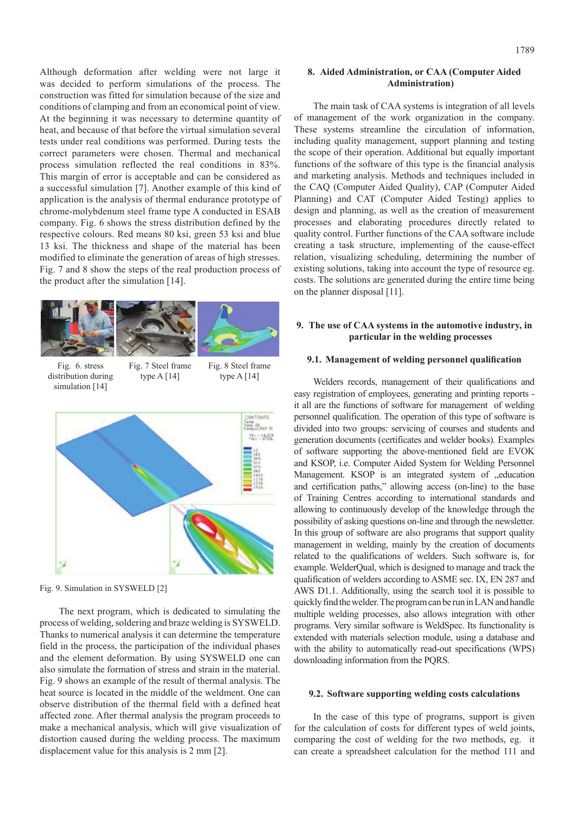Although deformation after welding were not large it was decided to perform simulations of the process. The construction was fitted for simulation because of the size and conditions of clamping and from an economical point of view. At the beginning it was necessary to determine quantity of heat, and because of that before the virtual simulation several tests under real conditions was performed. During tests the correct parameters were chosen. Thermal and mechanical process simulation reflected the real conditions in 83%. This margin of error is acceptable and can be considered as a successful simulation [7]. Another example of this kind of application is the analysis of thermal endurance prototype of chrome-molybdenum steel frame type A conducted in ESAB company. Fig. 6 shows the stress distribution defined by the respective colours. Red means 80 ksi, green 53 ksi and blue 13 ksi. The thickness and shape of the material has been modified to eliminate the generation of areas of high stresses. Fig. 7 and 8 show the steps of the real production process of the product after the simulation [14].



Fig. 6. stress distribution during simulation [14]

type  $A [14]$ 

type  $A [14]$ 



Fig. 9. Simulation in SYSWELD [2]

The next program, which is dedicated to simulating the process of welding, soldering and braze welding is SYSWELD. Thanks to numerical analysis it can determine the temperature field in the process, the participation of the individual phases and the element deformation. By using SYSWELD one can also simulate the formation of stress and strain in the material. Fig. 9 shows an example of the result of thermal analysis. The heat source is located in the middle of the weldment. One can observe distribution of the thermal field with a defined heat affected zone. After thermal analysis the program proceeds to make a mechanical analysis, which will give visualization of distortion caused during the welding process. The maximum displacement value for this analysis is 2 mm [2].

# **8. Aided Administration, or CAA (Computer Aided Administration)**

The main task of CAA systems is integration of all levels of management of the work organization in the company. These systems streamline the circulation of information, including quality management, support planning and testing the scope of their operation. Additional but equally important functions of the software of this type is the financial analysis and marketing analysis. Methods and techniques included in the CAQ (Computer Aided Quality), CAP (Computer Aided Planning) and CAT (Computer Aided Testing) applies to design and planning, as well as the creation of measurement processes and elaborating procedures directly related to quality control. Further functions of the CAA software include creating a task structure, implementing of the cause-effect relation, visualizing scheduling, determining the number of existing solutions, taking into account the type of resource eg. costs. The solutions are generated during the entire time being on the planner disposal [11].

# **9. The use of CAA systems in the automotive industry, in particular in the welding processes**

### **9.1. Management of welding personnel qualification**

Welders records, management of their qualifications and easy registration of employees, generating and printing reports it all are the functions of software for management of welding personnel qualification. The operation of this type of software is divided into two groups: servicing of courses and students and generation documents (certificates and welder books). Examples of software supporting the above-mentioned field are EVOK and KSOP, i.e. Computer Aided System for Welding Personnel Management. KSOP is an integrated system of ..education and certification paths," allowing access (on-line) to the base of Training Centres according to international standards and allowing to continuously develop of the knowledge through the possibility of asking questions on-line and through the newsletter. In this group of software are also programs that support quality management in welding, mainly by the creation of documents related to the qualifications of welders. Such software is, for example. WelderQual, which is designed to manage and track the qualification of welders according to ASME sec. IX, EN 287 and AWS D1.1. Additionally, using the search tool it is possible to quickly find the welder. The program can be run in LAN and handle multiple welding processes, also allows integration with other programs. Very similar software is WeldSpec. Its functionality is extended with materials selection module, using a database and with the ability to automatically read-out specifications (WPS) downloading information from the PQRS.

### **9.2. Software supporting welding costs calculations**

In the case of this type of programs, support is given for the calculation of costs for different types of weld joints, comparing the cost of welding for the two methods, eg. it can create a spreadsheet calculation for the method 111 and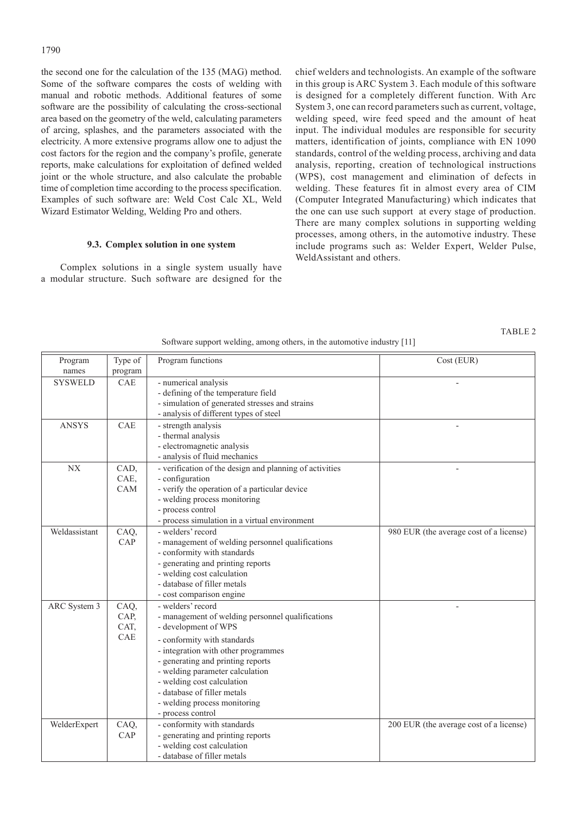the second one for the calculation of the 135 (MAG) method. Some of the software compares the costs of welding with manual and robotic methods. Additional features of some software are the possibility of calculating the cross-sectional area based on the geometry of the weld, calculating parameters of arcing, splashes, and the parameters associated with the electricity. A more extensive programs allow one to adjust the cost factors for the region and the company's profile, generate reports, make calculations for exploitation of defined welded joint or the whole structure, and also calculate the probable time of completion time according to the process specification. Examples of such software are: Weld Cost Calc XL, Weld Wizard Estimator Welding, Welding Pro and others.

### **9.3. Complex solution in one system**

Complex solutions in a single system usually have a modular structure. Such software are designed for the

chief welders and technologists. An example of the software in this group is ARC System 3. Each module of this software is designed for a completely different function. With Arc System 3, one can record parameters such as current, voltage, welding speed, wire feed speed and the amount of heat input. The individual modules are responsible for security matters, identification of joints, compliance with EN 1090 standards, control of the welding process, archiving and data analysis, reporting, creation of technological instructions (WPS), cost management and elimination of defects in welding. These features fit in almost every area of CIM (Computer Integrated Manufacturing) which indicates that the one can use such support at every stage of production. There are many complex solutions in supporting welding processes, among others, in the automotive industry. These include programs such as: Welder Expert, Welder Pulse, WeldAssistant and others.

TABLE<sub>2</sub>

| Software support welding, among others, in the automotive industry [11] |  |  |  |  |  |
|-------------------------------------------------------------------------|--|--|--|--|--|
|                                                                         |  |  |  |  |  |

| Program<br>names | Type of<br>program          | Program functions                                                                                                                                                                                                                                                                                                                                             | Cost (EUR)                              |
|------------------|-----------------------------|---------------------------------------------------------------------------------------------------------------------------------------------------------------------------------------------------------------------------------------------------------------------------------------------------------------------------------------------------------------|-----------------------------------------|
| <b>SYSWELD</b>   | <b>CAE</b>                  | - numerical analysis<br>- defining of the temperature field<br>- simulation of generated stresses and strains<br>- analysis of different types of steel                                                                                                                                                                                                       |                                         |
| <b>ANSYS</b>     | CAE                         | - strength analysis<br>- thermal analysis<br>- electromagnetic analysis<br>- analysis of fluid mechanics                                                                                                                                                                                                                                                      |                                         |
| N X              | CAD,<br>CAE,<br>CAM         | - verification of the design and planning of activities<br>- configuration<br>- verify the operation of a particular device<br>- welding process monitoring<br>- process control<br>- process simulation in a virtual environment                                                                                                                             |                                         |
| Weldassistant    | CAQ,<br>CAP                 | - welders' record<br>- management of welding personnel qualifications<br>- conformity with standards<br>- generating and printing reports<br>- welding cost calculation<br>- database of filler metals<br>- cost comparison engine                                                                                                                            | 980 EUR (the average cost of a license) |
| ARC System 3     | CAQ,<br>CAP,<br>CAT,<br>CAE | - welders' record<br>- management of welding personnel qualifications<br>- development of WPS<br>- conformity with standards<br>- integration with other programmes<br>- generating and printing reports<br>- welding parameter calculation<br>- welding cost calculation<br>- database of filler metals<br>- welding process monitoring<br>- process control |                                         |
| WelderExpert     | CAQ,<br>CAP                 | - conformity with standards<br>- generating and printing reports<br>- welding cost calculation<br>- database of filler metals                                                                                                                                                                                                                                 | 200 EUR (the average cost of a license) |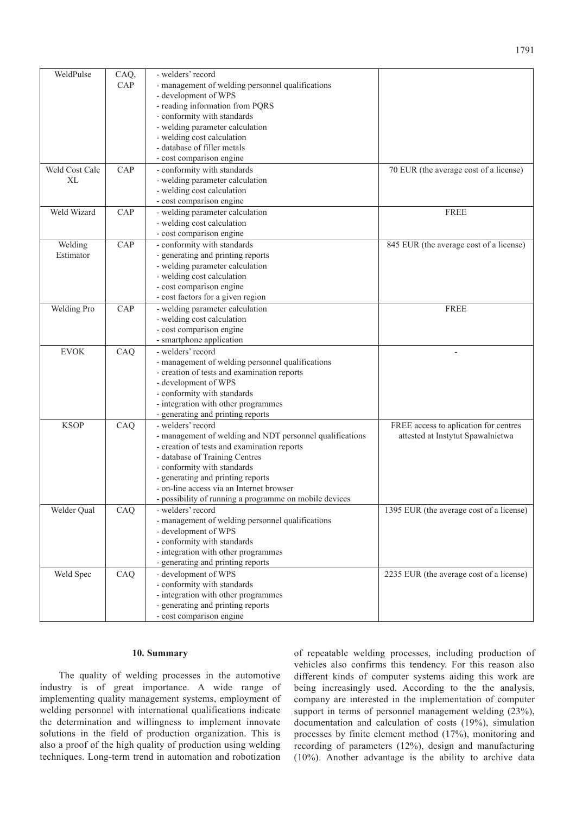| WeldPulse      | CAQ, | - welders' record                                             |                                          |
|----------------|------|---------------------------------------------------------------|------------------------------------------|
|                | CAP  | - management of welding personnel qualifications              |                                          |
|                |      | - development of WPS                                          |                                          |
|                |      | - reading information from PQRS                               |                                          |
|                |      | - conformity with standards                                   |                                          |
|                |      | - welding parameter calculation                               |                                          |
|                |      | - welding cost calculation                                    |                                          |
|                |      | - database of filler metals                                   |                                          |
|                |      | - cost comparison engine                                      |                                          |
| Weld Cost Calc | CAP  | - conformity with standards                                   | 70 EUR (the average cost of a license)   |
| XL             |      | - welding parameter calculation                               |                                          |
|                |      | - welding cost calculation                                    |                                          |
|                |      | - cost comparison engine                                      |                                          |
| Weld Wizard    | CAP  | - welding parameter calculation                               | <b>FREE</b>                              |
|                |      | - welding cost calculation                                    |                                          |
|                |      | - cost comparison engine                                      |                                          |
| Welding        | CAP  | - conformity with standards                                   | 845 EUR (the average cost of a license)  |
| Estimator      |      | - generating and printing reports                             |                                          |
|                |      | - welding parameter calculation                               |                                          |
|                |      | - welding cost calculation                                    |                                          |
|                |      | - cost comparison engine                                      |                                          |
|                |      | - cost factors for a given region                             |                                          |
| Welding Pro    | CAP  | - welding parameter calculation                               | <b>FREE</b>                              |
|                |      | - welding cost calculation                                    |                                          |
|                |      | - cost comparison engine                                      |                                          |
|                |      | - smartphone application                                      |                                          |
| <b>EVOK</b>    | CAQ  | - welders' record                                             |                                          |
|                |      | - management of welding personnel qualifications              |                                          |
|                |      | - creation of tests and examination reports                   |                                          |
|                |      | - development of WPS                                          |                                          |
|                |      | - conformity with standards                                   |                                          |
|                |      | - integration with other programmes                           |                                          |
|                |      | - generating and printing reports                             |                                          |
| <b>KSOP</b>    | CAQ  | - welders' record                                             | FREE access to aplication for centres    |
|                |      | - management of welding and NDT personnel qualifications      | attested at Instytut Spawalnictwa        |
|                |      | - creation of tests and examination reports                   |                                          |
|                |      |                                                               |                                          |
|                |      | - database of Training Centres                                |                                          |
|                |      | - conformity with standards                                   |                                          |
|                |      | - generating and printing reports                             |                                          |
|                |      | - on-line access via an Internet browser                      |                                          |
|                |      | - possibility of running a programme on mobile devices        |                                          |
| Welder Qual    | CAQ  | - welders' record                                             | 1395 EUR (the average cost of a license) |
|                |      | - management of welding personnel qualifications              |                                          |
|                |      | - development of WPS                                          |                                          |
|                |      | - conformity with standards                                   |                                          |
|                |      | - integration with other programmes                           |                                          |
|                |      | - generating and printing reports                             |                                          |
| Weld Spec      | CAQ  | - development of WPS                                          | 2235 EUR (the average cost of a license) |
|                |      | - conformity with standards                                   |                                          |
|                |      | - integration with other programmes                           |                                          |
|                |      | - generating and printing reports<br>- cost comparison engine |                                          |

## **10. Summary**

The quality of welding processes in the automotive industry is of great importance. A wide range of implementing quality management systems, employment of welding personnel with international qualifications indicate the determination and willingness to implement innovate solutions in the field of production organization. This is also a proof of the high quality of production using welding techniques. Long-term trend in automation and robotization of repeatable welding processes, including production of vehicles also confirms this tendency. For this reason also different kinds of computer systems aiding this work are being increasingly used. According to the the analysis, company are interested in the implementation of computer support in terms of personnel management welding  $(23\%)$ , documentation and calculation of costs (19%), simulation processes by finite element method (17%), monitoring and recording of parameters (12%), design and manufacturing (10%). Another advantage is the ability to archive data